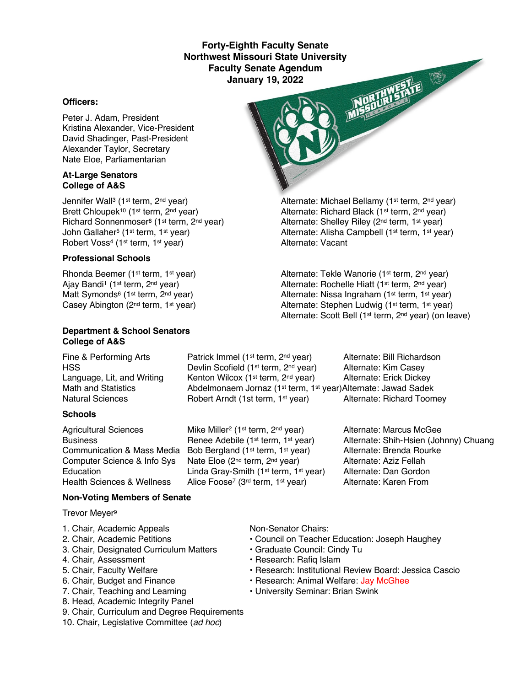### **Forty-Eighth Faculty Senate Northwest Missouri State University Faculty Senate Agendum January 19, 2022**

#### **Officers:**

Peter J. Adam, President Kristina Alexander, Vice-President David Shadinger, Past-President Alexander Taylor, Secretary Nate Eloe, Parliamentarian

#### **At-Large Senators College of A&S**

Jennifer Wall<sup>3</sup> (1<sup>st</sup> term, 2<sup>nd</sup> year) Alternate: Michael Bellamy (1<sup>st</sup> term, 2<sup>nd</sup> year) Brett Chloupek<sup>10</sup> (1<sup>st</sup> term, 2<sup>nd</sup> year) Alternate: Richard Black (1<sup>st</sup> term, 2<sup>nd</sup> year) Richard Sonnenmoser<sup>8</sup> (1<sup>st</sup> term, 2<sup>nd</sup> year) Alternate: Shelley Riley (2<sup>nd</sup> term, 1<sup>st</sup> year) Robert Voss<sup>4</sup> (1<sup>st</sup> term, 1<sup>st</sup> year)

### **Professional Schools**

#### **Department & School Senators College of A&S**

### **Schools**

Fine & Performing Arts **Patrick Immel (1st term, 2nd year)** Alternate: Bill Richardson HSS **EXECUTE:** Devlin Scofield (1<sup>st</sup> term, 2<sup>nd</sup> year) Alternate: Kim Casey Language, Lit, and Writing Kenton Wilcox (1<sup>st</sup> term, 2<sup>nd</sup> year) Alternate: Erick Dickey Math and Statistics **Abdelmonaem Jornaz (1st term, 1st year)Alternate: Jawad Sadek** Natural Sciences **Robert Arndt (1st term, 1st year)** Alternate: Richard Toomey

Agricultural Sciences Mike Miller<sup>2</sup> (1<sup>st</sup> term, 2<sup>nd</sup> year) Alternate: Marcus McGee Communication & Mass Media Bob Bergland (1st term, 1st year) Alternate: Brenda Rourke Computer Science & Info Sys Nate Eloe (2<sup>nd</sup> term, 2<sup>nd</sup> year) Alternate: Aziz Fellah<br>Education Linda Grav-Smith (1<sup>st</sup> term, 1<sup>st</sup> year) Alternate: Dan Gordon Education Linda Gray-Smith (1<sup>st</sup> term, 1<sup>st</sup> year) Alternate: Dan Gordon<br>Health Sciences & Wellness Alice Foose<sup>7</sup> (3<sup>rd</sup> term, 1<sup>st</sup> year) Alternate: Karen From Alice Foose<sup>7</sup> (3<sup>rd</sup> term, 1<sup>st</sup> year)

John Gallaher<sup>5</sup> (1st term, 1st year) Alternate: Alisha Campbell (1st term, 1st year)<br>
Alternate: Vacant<br>
Alternate: Vacant

**ORTHWEINTE** 

Rhonda Beemer (1<sup>st</sup> term, 1<sup>st</sup> year) Alternate: Tekle Wanorie (1<sup>st</sup> term, 2<sup>nd</sup> year) Ajay Bandi<sup>1</sup> (1<sup>st</sup> term, 2<sup>nd</sup> year) Alternate: Rochelle Hiatt (1<sup>st</sup> term, 2<sup>nd</sup> year) Matt Symonds<sup>6</sup> (1<sup>st</sup> term, 2<sup>nd</sup> year) <br>Casey Abington (2<sup>nd</sup> term, 1<sup>st</sup> year) <br>Alternate: Stephen Ludwig (1<sup>st</sup> term, 1<sup>st</sup> year) Alternate: Stephen Ludwig (1st term, 1st year) Alternate: Scott Bell (1st term, 2nd year) (on leave)

Business **Renee Adebile (1st term, 1st year)** Alternate: Shih-Hsien (Johnny) Chuang

#### **Non-Voting Members of Senate**

Trevor Meyer9

- 1. Chair, Academic Appeals Non-Senator Chairs:
- 
- 3. Chair, Designated Curriculum Matters Graduate Council: Cindy Tu
- 4. Chair, Assessment **Francisco Exercise Research: Rafiq Islam**
- 
- 
- 
- 8. Head, Academic Integrity Panel
- 9. Chair, Curriculum and Degree Requirements
- 10. Chair, Legislative Committee (*ad hoc*)

- 2. Chair, Academic Petitions Council on Teacher Education: Joseph Haughey
	-
	-
- 5. Chair, Faculty Welfare Research: Institutional Review Board: Jessica Cascio
- 6. Chair, Budget and Finance  **Research: Animal Welfare: Jay McGhee**
- 7. Chair, Teaching and Learning  **University Seminar: Brian Swink**